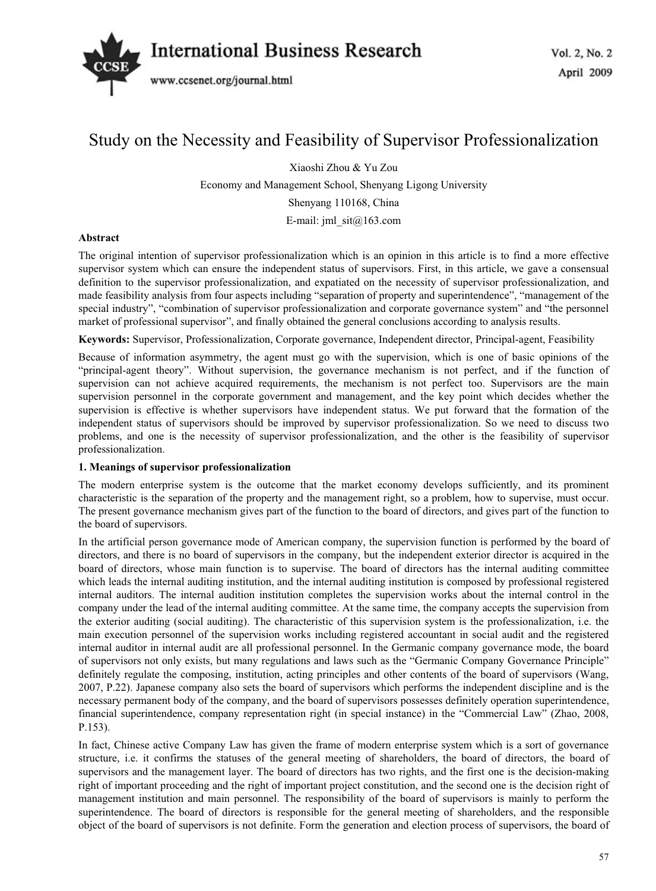# *International Business Research*  $\frac{1}{2}$  No. 2, No. 2



# Study on the Necessity and Feasibility of Supervisor Professionalization

Xiaoshi Zhou & Yu Zou Economy and Management School, Shenyang Ligong University Shenyang 110168, China E-mail: jml  $\text{sit}(a)$ 163.com

# **Abstract**

The original intention of supervisor professionalization which is an opinion in this article is to find a more effective supervisor system which can ensure the independent status of supervisors. First, in this article, we gave a consensual definition to the supervisor professionalization, and expatiated on the necessity of supervisor professionalization, and made feasibility analysis from four aspects including "separation of property and superintendence", "management of the special industry", "combination of supervisor professionalization and corporate governance system" and "the personnel market of professional supervisor", and finally obtained the general conclusions according to analysis results.

**Keywords:** Supervisor, Professionalization, Corporate governance, Independent director, Principal-agent, Feasibility

Because of information asymmetry, the agent must go with the supervision, which is one of basic opinions of the "principal-agent theory". Without supervision, the governance mechanism is not perfect, and if the function of supervision can not achieve acquired requirements, the mechanism is not perfect too. Supervisors are the main supervision personnel in the corporate government and management, and the key point which decides whether the supervision is effective is whether supervisors have independent status. We put forward that the formation of the independent status of supervisors should be improved by supervisor professionalization. So we need to discuss two problems, and one is the necessity of supervisor professionalization, and the other is the feasibility of supervisor professionalization.

## **1. Meanings of supervisor professionalization**

The modern enterprise system is the outcome that the market economy develops sufficiently, and its prominent characteristic is the separation of the property and the management right, so a problem, how to supervise, must occur. The present governance mechanism gives part of the function to the board of directors, and gives part of the function to the board of supervisors.

In the artificial person governance mode of American company, the supervision function is performed by the board of directors, and there is no board of supervisors in the company, but the independent exterior director is acquired in the board of directors, whose main function is to supervise. The board of directors has the internal auditing committee which leads the internal auditing institution, and the internal auditing institution is composed by professional registered internal auditors. The internal audition institution completes the supervision works about the internal control in the company under the lead of the internal auditing committee. At the same time, the company accepts the supervision from the exterior auditing (social auditing). The characteristic of this supervision system is the professionalization, i.e. the main execution personnel of the supervision works including registered accountant in social audit and the registered internal auditor in internal audit are all professional personnel. In the Germanic company governance mode, the board of supervisors not only exists, but many regulations and laws such as the "Germanic Company Governance Principle" definitely regulate the composing, institution, acting principles and other contents of the board of supervisors (Wang, 2007, P.22). Japanese company also sets the board of supervisors which performs the independent discipline and is the necessary permanent body of the company, and the board of supervisors possesses definitely operation superintendence, financial superintendence, company representation right (in special instance) in the "Commercial Law" (Zhao, 2008, P.153).

In fact, Chinese active Company Law has given the frame of modern enterprise system which is a sort of governance structure, i.e. it confirms the statuses of the general meeting of shareholders, the board of directors, the board of supervisors and the management layer. The board of directors has two rights, and the first one is the decision-making right of important proceeding and the right of important project constitution, and the second one is the decision right of management institution and main personnel. The responsibility of the board of supervisors is mainly to perform the superintendence. The board of directors is responsible for the general meeting of shareholders, and the responsible object of the board of supervisors is not definite. Form the generation and election process of supervisors, the board of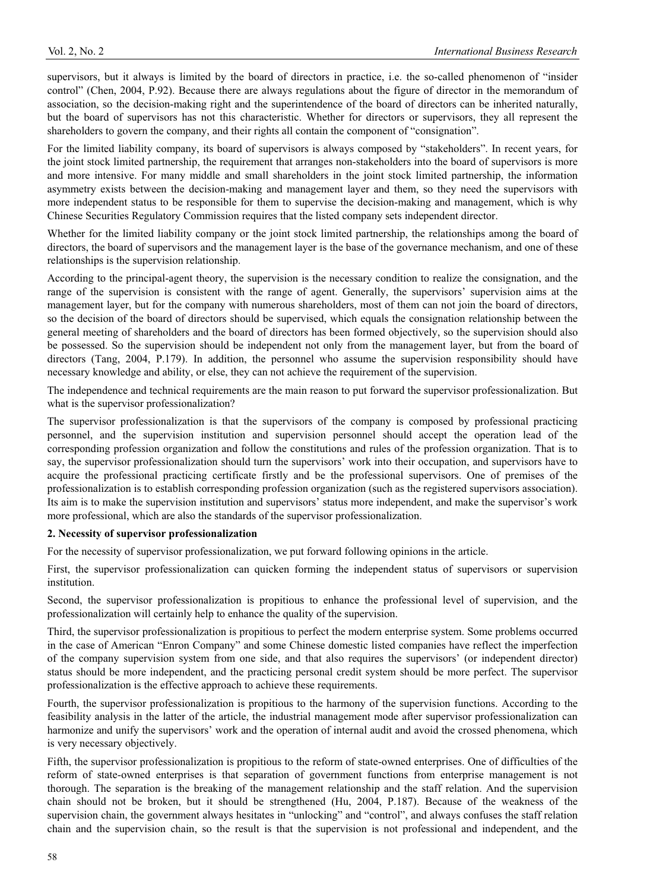supervisors, but it always is limited by the board of directors in practice, i.e. the so-called phenomenon of "insider control" (Chen, 2004, P.92). Because there are always regulations about the figure of director in the memorandum of association, so the decision-making right and the superintendence of the board of directors can be inherited naturally, but the board of supervisors has not this characteristic. Whether for directors or supervisors, they all represent the shareholders to govern the company, and their rights all contain the component of "consignation".

For the limited liability company, its board of supervisors is always composed by "stakeholders". In recent years, for the joint stock limited partnership, the requirement that arranges non-stakeholders into the board of supervisors is more and more intensive. For many middle and small shareholders in the joint stock limited partnership, the information asymmetry exists between the decision-making and management layer and them, so they need the supervisors with more independent status to be responsible for them to supervise the decision-making and management, which is why Chinese Securities Regulatory Commission requires that the listed company sets independent director.

Whether for the limited liability company or the joint stock limited partnership, the relationships among the board of directors, the board of supervisors and the management layer is the base of the governance mechanism, and one of these relationships is the supervision relationship.

According to the principal-agent theory, the supervision is the necessary condition to realize the consignation, and the range of the supervision is consistent with the range of agent. Generally, the supervisors' supervision aims at the management layer, but for the company with numerous shareholders, most of them can not join the board of directors, so the decision of the board of directors should be supervised, which equals the consignation relationship between the general meeting of shareholders and the board of directors has been formed objectively, so the supervision should also be possessed. So the supervision should be independent not only from the management layer, but from the board of directors (Tang, 2004, P.179). In addition, the personnel who assume the supervision responsibility should have necessary knowledge and ability, or else, they can not achieve the requirement of the supervision.

The independence and technical requirements are the main reason to put forward the supervisor professionalization. But what is the supervisor professionalization?

The supervisor professionalization is that the supervisors of the company is composed by professional practicing personnel, and the supervision institution and supervision personnel should accept the operation lead of the corresponding profession organization and follow the constitutions and rules of the profession organization. That is to say, the supervisor professionalization should turn the supervisors' work into their occupation, and supervisors have to acquire the professional practicing certificate firstly and be the professional supervisors. One of premises of the professionalization is to establish corresponding profession organization (such as the registered supervisors association). Its aim is to make the supervision institution and supervisors' status more independent, and make the supervisor's work more professional, which are also the standards of the supervisor professionalization.

#### **2. Necessity of supervisor professionalization**

For the necessity of supervisor professionalization, we put forward following opinions in the article.

First, the supervisor professionalization can quicken forming the independent status of supervisors or supervision institution.

Second, the supervisor professionalization is propitious to enhance the professional level of supervision, and the professionalization will certainly help to enhance the quality of the supervision.

Third, the supervisor professionalization is propitious to perfect the modern enterprise system. Some problems occurred in the case of American "Enron Company" and some Chinese domestic listed companies have reflect the imperfection of the company supervision system from one side, and that also requires the supervisors' (or independent director) status should be more independent, and the practicing personal credit system should be more perfect. The supervisor professionalization is the effective approach to achieve these requirements.

Fourth, the supervisor professionalization is propitious to the harmony of the supervision functions. According to the feasibility analysis in the latter of the article, the industrial management mode after supervisor professionalization can harmonize and unify the supervisors' work and the operation of internal audit and avoid the crossed phenomena, which is very necessary objectively.

Fifth, the supervisor professionalization is propitious to the reform of state-owned enterprises. One of difficulties of the reform of state-owned enterprises is that separation of government functions from enterprise management is not thorough. The separation is the breaking of the management relationship and the staff relation. And the supervision chain should not be broken, but it should be strengthened (Hu, 2004, P.187). Because of the weakness of the supervision chain, the government always hesitates in "unlocking" and "control", and always confuses the staff relation chain and the supervision chain, so the result is that the supervision is not professional and independent, and the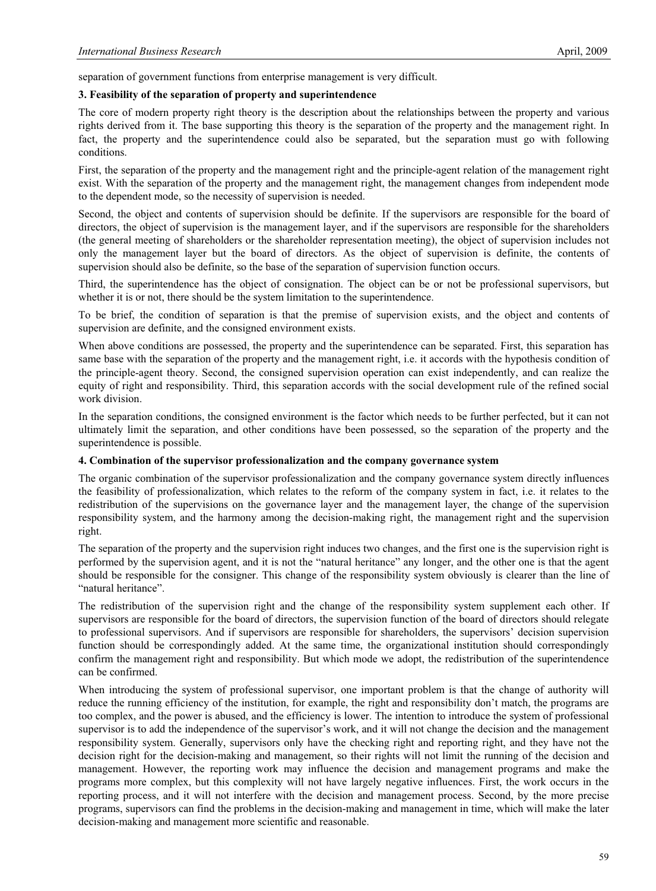separation of government functions from enterprise management is very difficult.

#### **3. Feasibility of the separation of property and superintendence**

The core of modern property right theory is the description about the relationships between the property and various rights derived from it. The base supporting this theory is the separation of the property and the management right. In fact, the property and the superintendence could also be separated, but the separation must go with following conditions.

First, the separation of the property and the management right and the principle-agent relation of the management right exist. With the separation of the property and the management right, the management changes from independent mode to the dependent mode, so the necessity of supervision is needed.

Second, the object and contents of supervision should be definite. If the supervisors are responsible for the board of directors, the object of supervision is the management layer, and if the supervisors are responsible for the shareholders (the general meeting of shareholders or the shareholder representation meeting), the object of supervision includes not only the management layer but the board of directors. As the object of supervision is definite, the contents of supervision should also be definite, so the base of the separation of supervision function occurs.

Third, the superintendence has the object of consignation. The object can be or not be professional supervisors, but whether it is or not, there should be the system limitation to the superintendence.

To be brief, the condition of separation is that the premise of supervision exists, and the object and contents of supervision are definite, and the consigned environment exists.

When above conditions are possessed, the property and the superintendence can be separated. First, this separation has same base with the separation of the property and the management right, i.e. it accords with the hypothesis condition of the principle-agent theory. Second, the consigned supervision operation can exist independently, and can realize the equity of right and responsibility. Third, this separation accords with the social development rule of the refined social work division.

In the separation conditions, the consigned environment is the factor which needs to be further perfected, but it can not ultimately limit the separation, and other conditions have been possessed, so the separation of the property and the superintendence is possible.

#### **4. Combination of the supervisor professionalization and the company governance system**

The organic combination of the supervisor professionalization and the company governance system directly influences the feasibility of professionalization, which relates to the reform of the company system in fact, i.e. it relates to the redistribution of the supervisions on the governance layer and the management layer, the change of the supervision responsibility system, and the harmony among the decision-making right, the management right and the supervision right.

The separation of the property and the supervision right induces two changes, and the first one is the supervision right is performed by the supervision agent, and it is not the "natural heritance" any longer, and the other one is that the agent should be responsible for the consigner. This change of the responsibility system obviously is clearer than the line of "natural heritance".

The redistribution of the supervision right and the change of the responsibility system supplement each other. If supervisors are responsible for the board of directors, the supervision function of the board of directors should relegate to professional supervisors. And if supervisors are responsible for shareholders, the supervisors' decision supervision function should be correspondingly added. At the same time, the organizational institution should correspondingly confirm the management right and responsibility. But which mode we adopt, the redistribution of the superintendence can be confirmed.

When introducing the system of professional supervisor, one important problem is that the change of authority will reduce the running efficiency of the institution, for example, the right and responsibility don't match, the programs are too complex, and the power is abused, and the efficiency is lower. The intention to introduce the system of professional supervisor is to add the independence of the supervisor's work, and it will not change the decision and the management responsibility system. Generally, supervisors only have the checking right and reporting right, and they have not the decision right for the decision-making and management, so their rights will not limit the running of the decision and management. However, the reporting work may influence the decision and management programs and make the programs more complex, but this complexity will not have largely negative influences. First, the work occurs in the reporting process, and it will not interfere with the decision and management process. Second, by the more precise programs, supervisors can find the problems in the decision-making and management in time, which will make the later decision-making and management more scientific and reasonable.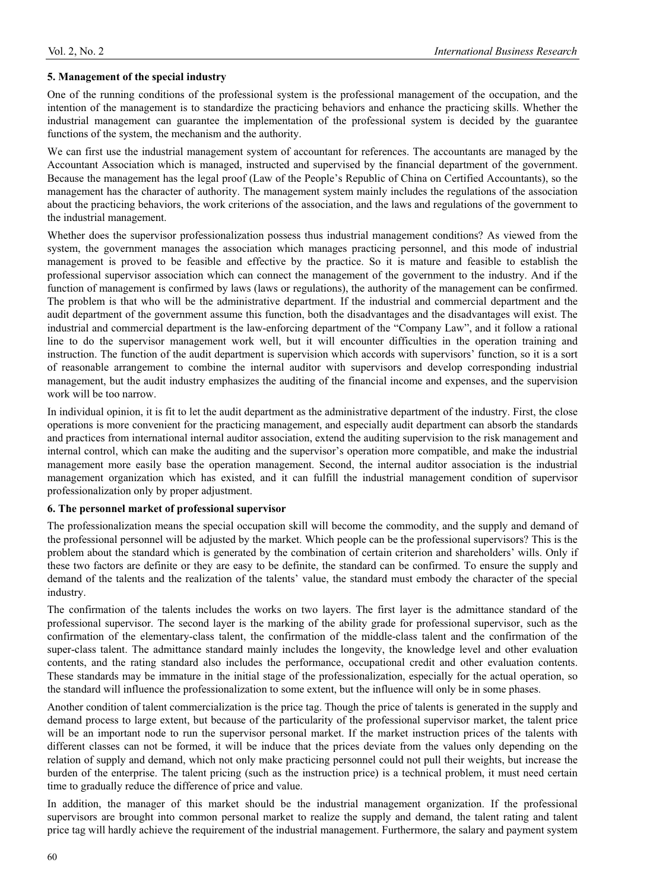#### **5. Management of the special industry**

One of the running conditions of the professional system is the professional management of the occupation, and the intention of the management is to standardize the practicing behaviors and enhance the practicing skills. Whether the industrial management can guarantee the implementation of the professional system is decided by the guarantee functions of the system, the mechanism and the authority.

We can first use the industrial management system of accountant for references. The accountants are managed by the Accountant Association which is managed, instructed and supervised by the financial department of the government. Because the management has the legal proof (Law of the People's Republic of China on Certified Accountants), so the management has the character of authority. The management system mainly includes the regulations of the association about the practicing behaviors, the work criterions of the association, and the laws and regulations of the government to the industrial management.

Whether does the supervisor professionalization possess thus industrial management conditions? As viewed from the system, the government manages the association which manages practicing personnel, and this mode of industrial management is proved to be feasible and effective by the practice. So it is mature and feasible to establish the professional supervisor association which can connect the management of the government to the industry. And if the function of management is confirmed by laws (laws or regulations), the authority of the management can be confirmed. The problem is that who will be the administrative department. If the industrial and commercial department and the audit department of the government assume this function, both the disadvantages and the disadvantages will exist. The industrial and commercial department is the law-enforcing department of the "Company Law", and it follow a rational line to do the supervisor management work well, but it will encounter difficulties in the operation training and instruction. The function of the audit department is supervision which accords with supervisors' function, so it is a sort of reasonable arrangement to combine the internal auditor with supervisors and develop corresponding industrial management, but the audit industry emphasizes the auditing of the financial income and expenses, and the supervision work will be too narrow.

In individual opinion, it is fit to let the audit department as the administrative department of the industry. First, the close operations is more convenient for the practicing management, and especially audit department can absorb the standards and practices from international internal auditor association, extend the auditing supervision to the risk management and internal control, which can make the auditing and the supervisor's operation more compatible, and make the industrial management more easily base the operation management. Second, the internal auditor association is the industrial management organization which has existed, and it can fulfill the industrial management condition of supervisor professionalization only by proper adjustment.

## **6. The personnel market of professional supervisor**

The professionalization means the special occupation skill will become the commodity, and the supply and demand of the professional personnel will be adjusted by the market. Which people can be the professional supervisors? This is the problem about the standard which is generated by the combination of certain criterion and shareholders' wills. Only if these two factors are definite or they are easy to be definite, the standard can be confirmed. To ensure the supply and demand of the talents and the realization of the talents' value, the standard must embody the character of the special industry.

The confirmation of the talents includes the works on two layers. The first layer is the admittance standard of the professional supervisor. The second layer is the marking of the ability grade for professional supervisor, such as the confirmation of the elementary-class talent, the confirmation of the middle-class talent and the confirmation of the super-class talent. The admittance standard mainly includes the longevity, the knowledge level and other evaluation contents, and the rating standard also includes the performance, occupational credit and other evaluation contents. These standards may be immature in the initial stage of the professionalization, especially for the actual operation, so the standard will influence the professionalization to some extent, but the influence will only be in some phases.

Another condition of talent commercialization is the price tag. Though the price of talents is generated in the supply and demand process to large extent, but because of the particularity of the professional supervisor market, the talent price will be an important node to run the supervisor personal market. If the market instruction prices of the talents with different classes can not be formed, it will be induce that the prices deviate from the values only depending on the relation of supply and demand, which not only make practicing personnel could not pull their weights, but increase the burden of the enterprise. The talent pricing (such as the instruction price) is a technical problem, it must need certain time to gradually reduce the difference of price and value.

In addition, the manager of this market should be the industrial management organization. If the professional supervisors are brought into common personal market to realize the supply and demand, the talent rating and talent price tag will hardly achieve the requirement of the industrial management. Furthermore, the salary and payment system